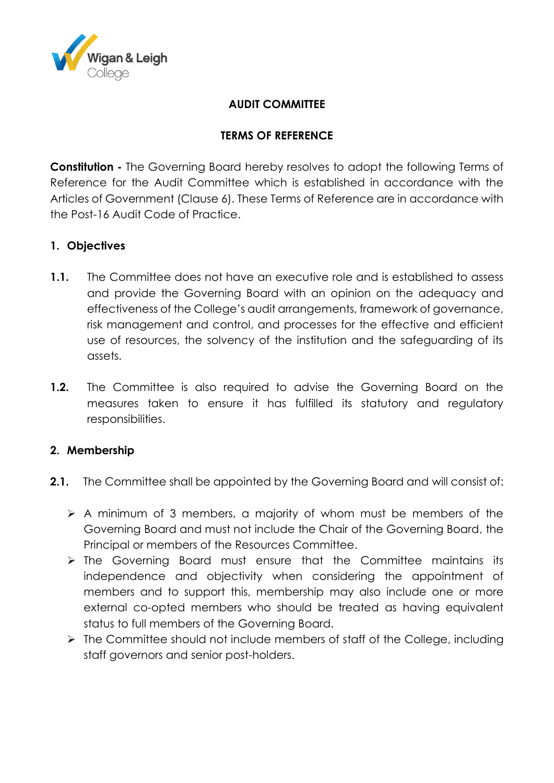

## **AUDIT COMMITTEE**

## **TERMS OF REFERENCE**

**Constitution -** The Governing Board hereby resolves to adopt the following Terms of Reference for the Audit Committee which is established in accordance with the Articles of Government (Clause 6). These Terms of Reference are in accordance with the Post-16 Audit Code of Practice.

## **1. Objectives**

- **1.1.** The Committee does not have an executive role and is established to assess and provide the Governing Board with an opinion on the adequacy and effectiveness of the College's audit arrangements, framework of governance, risk management and control, and processes for the effective and efficient use of resources, the solvency of the institution and the safeguarding of its assets.
- **1.2.** The Committee is also required to advise the Governing Board on the measures taken to ensure it has fulfilled its statutory and regulatory responsibilities.

### **2. Membership**

- **2.1.** The Committee shall be appointed by the Governing Board and will consist of:
	- A minimum of 3 members, a majority of whom must be members of the Governing Board and must not include the Chair of the Governing Board, the Principal or members of the Resources Committee.
	- $\triangleright$  The Governing Board must ensure that the Committee maintains its independence and objectivity when considering the appointment of members and to support this, membership may also include one or more external co-opted members who should be treated as having equivalent status to full members of the Governing Board.
	- $\triangleright$  The Committee should not include members of staff of the College, including staff governors and senior post-holders.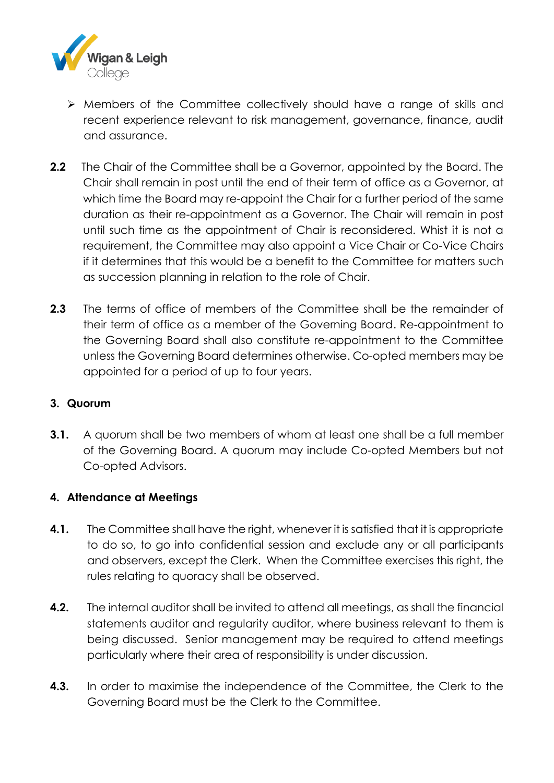

- Members of the Committee collectively should have a range of skills and recent experience relevant to risk management, governance, finance, audit and assurance.
- **2.2** The Chair of the Committee shall be a Governor, appointed by the Board. The Chair shall remain in post until the end of their term of office as a Governor, at which time the Board may re-appoint the Chair for a further period of the same duration as their re-appointment as a Governor. The Chair will remain in post until such time as the appointment of Chair is reconsidered. Whist it is not a requirement, the Committee may also appoint a Vice Chair or Co-Vice Chairs if it determines that this would be a benefit to the Committee for matters such as succession planning in relation to the role of Chair.
- **2.3** The terms of office of members of the Committee shall be the remainder of their term of office as a member of the Governing Board. Re-appointment to the Governing Board shall also constitute re-appointment to the Committee unless the Governing Board determines otherwise. Co-opted members may be appointed for a period of up to four years.

### **3. Quorum**

**3.1.** A guorum shall be two members of whom at least one shall be a full member of the Governing Board. A quorum may include Co-opted Members but not Co-opted Advisors.

# **4. Attendance at Meetings**

- **4.1.** The Committee shall have the right, whenever it is satisfied that it is appropriate to do so, to go into confidential session and exclude any or all participants and observers, except the Clerk. When the Committee exercises this right, the rules relating to quoracy shall be observed.
- **4.2.** The internal auditor shall be invited to attend all meetings, as shall the financial statements auditor and regularity auditor, where business relevant to them is being discussed. Senior management may be required to attend meetings particularly where their area of responsibility is under discussion.
- **4.3.** In order to maximise the independence of the Committee, the Clerk to the Governing Board must be the Clerk to the Committee.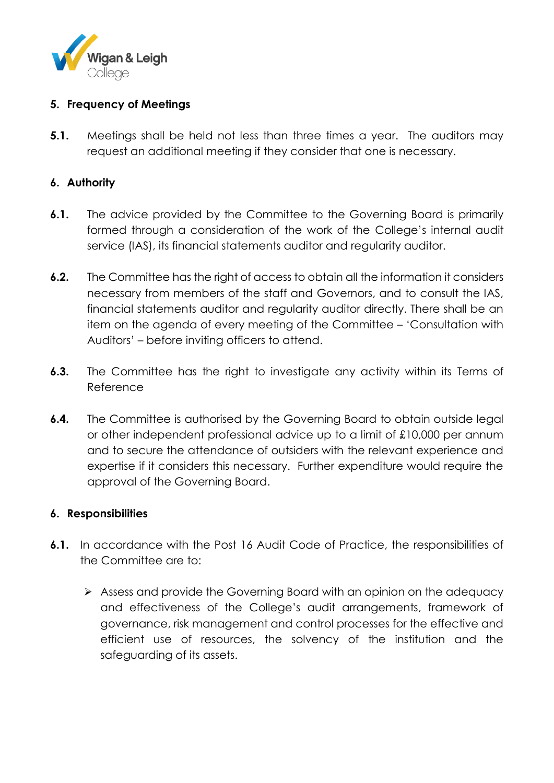

## **5. Frequency of Meetings**

**5.1.** Meetings shall be held not less than three times a year. The auditors may request an additional meeting if they consider that one is necessary.

## **6. Authority**

- **6.1.** The advice provided by the Committee to the Governing Board is primarily formed through a consideration of the work of the College's internal audit service (IAS), its financial statements auditor and regularity auditor.
- **6.2.** The Committee has the right of access to obtain all the information it considers necessary from members of the staff and Governors, and to consult the IAS, financial statements auditor and regularity auditor directly. There shall be an item on the agenda of every meeting of the Committee – 'Consultation with Auditors' – before inviting officers to attend.
- **6.3.** The Committee has the right to investigate any activity within its Terms of Reference
- **6.4.** The Committee is authorised by the Governing Board to obtain outside legal or other independent professional advice up to a limit of £10,000 per annum and to secure the attendance of outsiders with the relevant experience and expertise if it considers this necessary. Further expenditure would require the approval of the Governing Board.

### **6. Responsibilities**

- **6.1.** In accordance with the Post 16 Audit Code of Practice, the responsibilities of the Committee are to:
	- Assess and provide the Governing Board with an opinion on the adequacy and effectiveness of the College's audit arrangements, framework of governance, risk management and control processes for the effective and efficient use of resources, the solvency of the institution and the safeguarding of its assets.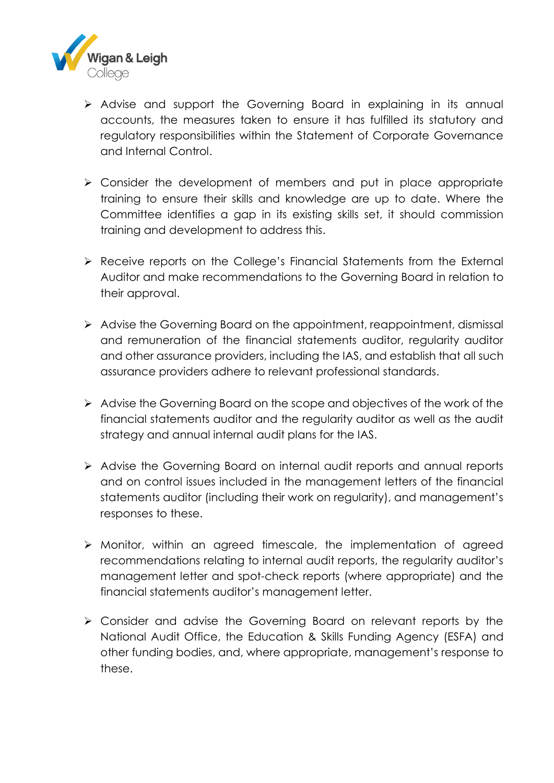

- Advise and support the Governing Board in explaining in its annual accounts, the measures taken to ensure it has fulfilled its statutory and regulatory responsibilities within the Statement of Corporate Governance and Internal Control.
- Consider the development of members and put in place appropriate training to ensure their skills and knowledge are up to date. Where the Committee identifies a gap in its existing skills set, it should commission training and development to address this.
- Receive reports on the College's Financial Statements from the External Auditor and make recommendations to the Governing Board in relation to their approval.
- $\triangleright$  Advise the Governing Board on the appointment, reappointment, dismissal and remuneration of the financial statements auditor, regularity auditor and other assurance providers, including the IAS, and establish that all such assurance providers adhere to relevant professional standards.
- Advise the Governing Board on the scope and objectives of the work of the financial statements auditor and the regularity auditor as well as the audit strategy and annual internal audit plans for the IAS.
- Advise the Governing Board on internal audit reports and annual reports and on control issues included in the management letters of the financial statements auditor (including their work on regularity), and management's responses to these.
- Monitor, within an agreed timescale, the implementation of agreed recommendations relating to internal audit reports, the regularity auditor's management letter and spot-check reports (where appropriate) and the financial statements auditor's management letter.
- Consider and advise the Governing Board on relevant reports by the National Audit Office, the Education & Skills Funding Agency (ESFA) and other funding bodies, and, where appropriate, management's response to these.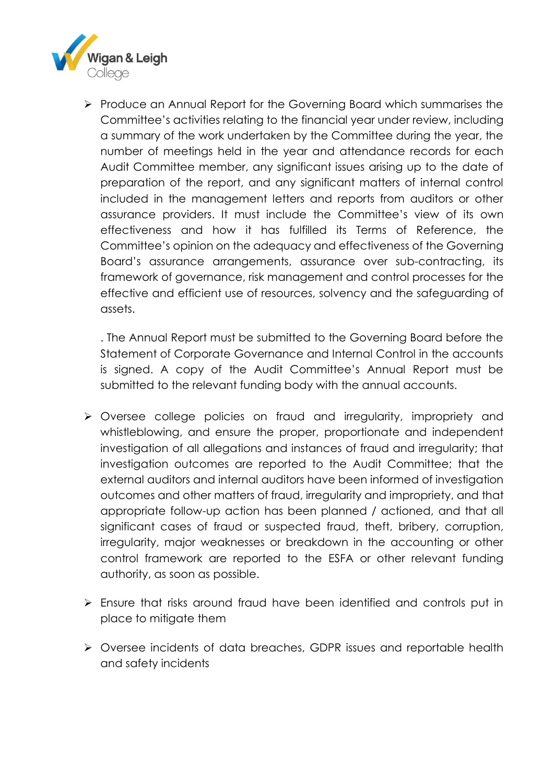

Produce an Annual Report for the Governing Board which summarises the Committee's activities relating to the financial year under review, including a summary of the work undertaken by the Committee during the year, the number of meetings held in the year and attendance records for each Audit Committee member, any significant issues arising up to the date of preparation of the report, and any significant matters of internal control included in the management letters and reports from auditors or other assurance providers. It must include the Committee's view of its own effectiveness and how it has fulfilled its Terms of Reference, the Committee's opinion on the adequacy and effectiveness of the Governing Board's assurance arrangements, assurance over sub-contracting, its framework of governance, risk management and control processes for the effective and efficient use of resources, solvency and the safeguarding of assets.

. The Annual Report must be submitted to the Governing Board before the Statement of Corporate Governance and Internal Control in the accounts is signed. A copy of the Audit Committee's Annual Report must be submitted to the relevant funding body with the annual accounts.

- Oversee college policies on fraud and irregularity, impropriety and whistleblowing, and ensure the proper, proportionate and independent investigation of all allegations and instances of fraud and irregularity; that investigation outcomes are reported to the Audit Committee; that the external auditors and internal auditors have been informed of investigation outcomes and other matters of fraud, irregularity and impropriety, and that appropriate follow-up action has been planned / actioned, and that all significant cases of fraud or suspected fraud, theft, bribery, corruption, irregularity, major weaknesses or breakdown in the accounting or other control framework are reported to the ESFA or other relevant funding authority, as soon as possible.
- Ensure that risks around fraud have been identified and controls put in place to mitigate them
- Oversee incidents of data breaches, GDPR issues and reportable health and safety incidents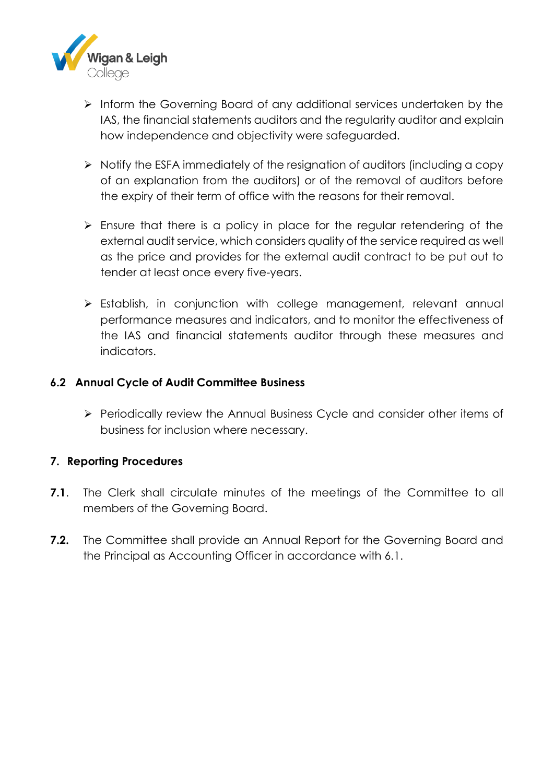

- $\triangleright$  Inform the Governing Board of any additional services undertaken by the IAS, the financial statements auditors and the regularity auditor and explain how independence and objectivity were safeguarded.
- $\triangleright$  Notify the ESFA immediately of the resignation of auditors (including a copy of an explanation from the auditors) or of the removal of auditors before the expiry of their term of office with the reasons for their removal.
- $\triangleright$  Ensure that there is a policy in place for the regular retendering of the external audit service, which considers quality of the service required as well as the price and provides for the external audit contract to be put out to tender at least once every five-years.
- Establish, in conjunction with college management, relevant annual performance measures and indicators, and to monitor the effectiveness of the IAS and financial statements auditor through these measures and indicators.

### **6.2 Annual Cycle of Audit Committee Business**

 Periodically review the Annual Business Cycle and consider other items of business for inclusion where necessary.

### **7. Reporting Procedures**

- **7.1**. The Clerk shall circulate minutes of the meetings of the Committee to all members of the Governing Board.
- **7.2.** The Committee shall provide an Annual Report for the Governing Board and the Principal as Accounting Officer in accordance with 6.1.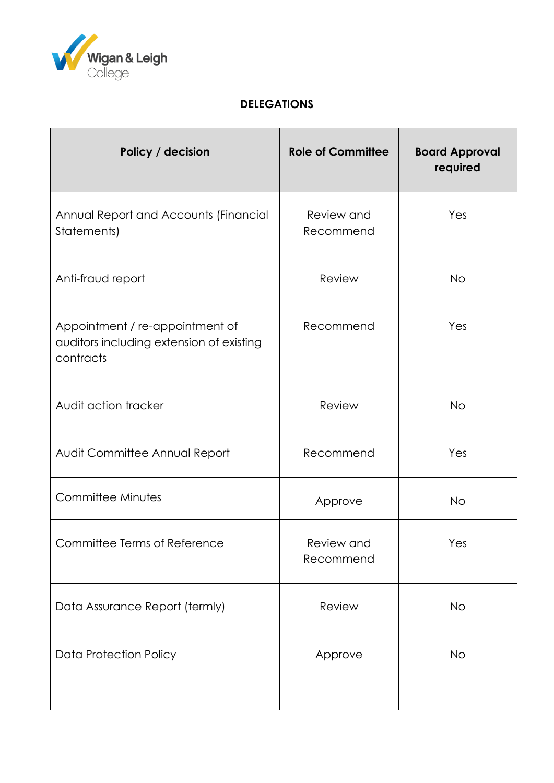

# **DELEGATIONS**

| Policy / decision                                                                        | <b>Role of Committee</b> | <b>Board Approval</b><br>required |
|------------------------------------------------------------------------------------------|--------------------------|-----------------------------------|
| Annual Report and Accounts (Financial<br>Statements)                                     | Review and<br>Recommend  | Yes                               |
| Anti-fraud report                                                                        | Review                   | <b>No</b>                         |
| Appointment / re-appointment of<br>auditors including extension of existing<br>contracts | Recommend                | Yes                               |
| Audit action tracker                                                                     | Review                   | <b>No</b>                         |
| Audit Committee Annual Report                                                            | Recommend                | Yes                               |
| Committee Minutes                                                                        | Approve                  | <b>No</b>                         |
| Committee Terms of Reference                                                             | Review and<br>Recommend  | Yes                               |
| Data Assurance Report (termly)                                                           | Review                   | <b>No</b>                         |
| <b>Data Protection Policy</b>                                                            | Approve                  | No                                |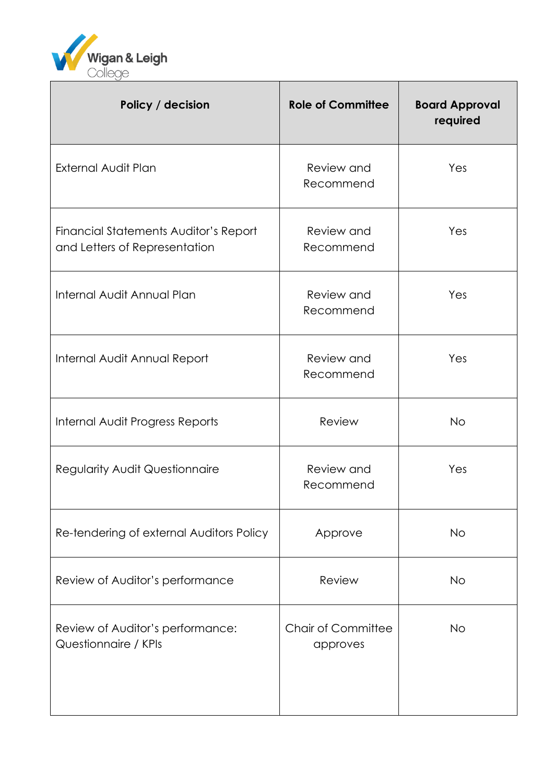

| Policy / decision                                                      | <b>Role of Committee</b>              | <b>Board Approval</b><br>required |
|------------------------------------------------------------------------|---------------------------------------|-----------------------------------|
| <b>External Audit Plan</b>                                             | Review and<br>Recommend               | Yes                               |
| Financial Statements Auditor's Report<br>and Letters of Representation | Review and<br>Recommend               | Yes                               |
| Internal Audit Annual Plan                                             | Review and<br>Recommend               | Yes                               |
| Internal Audit Annual Report                                           | Review and<br>Recommend               | Yes                               |
| Internal Audit Progress Reports                                        | Review                                | <b>No</b>                         |
| <b>Regularity Audit Questionnaire</b>                                  | Review and<br>Recommend               | Yes                               |
| Re-tendering of external Auditors Policy                               | Approve                               | <b>No</b>                         |
| Review of Auditor's performance                                        | Review                                | <b>No</b>                         |
| Review of Auditor's performance:<br>Questionnaire / KPIs               | <b>Chair of Committee</b><br>approves | <b>No</b>                         |